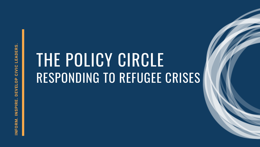# THE POLICY CIRCLE RESPONDING TO REFUGEE CRISES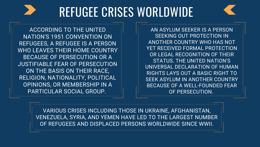### REFUGEE CRISES WORLDWIDE

ACCORDING TO THE UNITED NATION'S 1951 CONVENTION ON REFUGEES, A REFUGEE IS A PERSON WHO LEAVES THEIR HOME COUNTRY BECAUSE OF PERSECUTION OR A JUSTIFIABLE FEAR OF PERSECUTION ON THE BASIS ON THEIR RACE, RELIGION, NATIONALITY, POLITICAL OPINIONS, OR MEMBERSHIP IN A PARTICULAR SOCIAL GROUP.

AN ASYLUM SEEKER IS A PERSON SEEKING OUT PROTECTION IN ANOTHER COUNTRY WHO HAS NOT YET RECEIVED FORMAL PROTECTION OR LEGAL RECOGNITION OF THEIR STATUS. THE UNITED NATION'S UNIVERSAL DECLARATION OF HUMAN RIGHTS LAYS OUT A BASIC RIGHT TO SEEK ASYLUM IN ANOTHER COUNTRY BECAUSE OF A WELL-FOUNDED FEAR OF PERSECUTION.

VARIOUS CRISES INCLUDING THOSE IN UKRAINE, AFGHANISTAN, VENEZUELA, SYRIA, AND YEMEN HAVE LED TO THE LARGEST NUMBER OF REFUGEES AND DISPLACED PERSONS WORLDWIDE SINCE WWII.

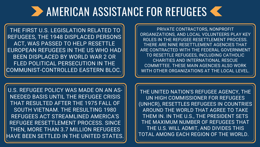### **2** AMERICAN ASSISTANCE FOR REFUGEES

THE FIRST U.S. LEGISLATION RELATED TO REFUGEES, THE 1948 DISPLACED PERSONS ACT, WAS PASSED TO HELP RESETTLE EUROPEAN REFUGEES IN THE US WHO HAD BEEN DISPLACED BY WORLD WAR 2 OR FLED POLITICAL PERSECUTION IN THE COMMUNIST-CONTROLLED EASTERN BLOC.

> THE UNITED NATION'S REFUGEE AGENCY, THE UN HIGH COMMISSIONER FOR REFUGEES (UNHCR), RESETTLES REFUGEES IN COUNTRIES AROUND THE WORLD THAT AGREE TO TAKE THEM IN. IN THE U.S., THE PRESIDENT SETS THE MAXIMUM NUMBER OF REFUGEES THAT THE U.S. WILL ADMIT, AND DIVIDES THIS TOTAL AMONG EACH REGION OF THE WORLD.

U.S. REFUGEE POLICY WAS MADE ON AN AS-NEEDED BASIS UNTIL THE REFUGEE CRISIS THAT RESULTED AFTER THE 1975 FALL OF SOUTH VIETNAM. THE RESULTING 1980 REFUGEES ACT STREAMLINED AMERICA'S REFUGEE RESETTLEMENT PROCESS. SINCE THEN, MORE THAN 3.7 MILLION REFUGEES HAVE BEEN SETTLED IN THE UNITED STATES.

PRIVATE CONTRACTORS, NONPROFIT ORGANIZATIONS, AND LOCAL VOLUNTEERS PLAY KEY ROLES IN THE REFUGEE RESETTLEMENT PROCESS. THERE ARE NINE RESETTLEMENT AGENCIES THAT ARE CONTRACTED WITH THE FEDERAL GOVERNMENT TO RESETTLE REFUGEES, INCLUDING CATHOLIC CHARITIES AND INTERNATIONAL RESCUE COMMITTEE. THESE MAIN AGENCIES ALSO WORK WITH OTHER ORGANIZATIONS AT THE LOCAL LEVEL.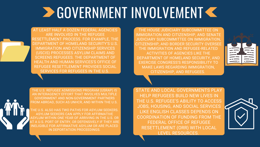## **DE GOVERNMENT INVOLVEMENT <**

AT LEAST HALF A DOZEN FEDERAL AGENCIES ARE INVOLVED IN THE REFUGEE RESETTLEMENT PROCESS. FOR EXAMPLE, THE DEPARTMENT OF HOMELAND SECURITY'S U.S. IMMIGRATION AND CITIZENSHIP SERVICES (USCIS) PROCESSES ASYLUM CLAIMS AND SCREENS REFUGEES. THE DEPARTMENT OF HEALTH AND HUMAN SERVICES'S OFFICE OF REFUGEE RESETTLEMENT PROVIDES SOCIAL SERVICES FOR REFUGEES IN THE U.S.

THE U.S. REFUGEE ADMISSIONS PROGRAM (USRAP) IS AN INTERAGENCY EFFORT THAT INVOLVES MULTIPLE GOVERNMENT AND NON-GOVERNMENT PARTNERS FROM ABROAD, SUCH AS UNHCR, AND WITHIN THE U.S.

THE U.S. ALSO HAS TWO PATHS FOR ASYLUM SEEKERS. ASYLUM SEEKERS CAN APPLY FOR AFFIRMATIVE ASYLUM WITHIN ONE YEAR OF ARRIVING IN THE U.S. OR A U.S. PORT OF ENTRY, OR DEFENSIVELY IF THEY ARE INELIGIBLE FOR AFFIRMATIVE ASYLUM OR ARE PLACED IN DEPORTATION PROCEEDINGS.

THE HOUSE JUDICIARY SUBCOMMITTEE ON IMMIGRATION AND CITIZENSHIP, AND SENATE JUDICIARY SUBCOMMITTEE ON IMMIGRATION, CITIZENSHIP, AND BORDER SECURITY OVERSEE THE IMMIGRATION AND REFUGEE-RELATED ACTIVITIES OF AGENCIES LIKE THE DEPARTMENT OF HOMELAND SECURITY, AND EXERCISE CONGRESS'S RESPONSIBILITY TO MAKE LAWS REGARDING IMMIGRATION, CITIZENSHIP, AND REFUGEES.



STATE AND LOCAL GOVERNMENTS PLAY HELP REFUGEES BUILD NEW LIVES IN THE U.S. REFUGEE'S ABILITY TO ACCESS JOBS, HOUSING, AND SOCIAL SERVICES LIKE ENGLISH CLASSES DEPENDS ON COORDINATION OF FUNDING FROM THE FEDERAL OFFICE OF REFUGEE RESETTLEMENT (ORR) WITH LOCAL LEVEL RESOURCES.



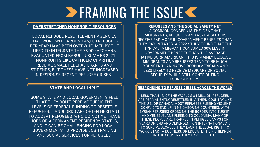## **ERAMING THE ISSUE K**

#### **OVERSTRETCHED NONPROFIT RESOURCES**

LOCAL REFUGEE RESETTLEMENT AGENCIES THAT WORK WITH AROUND 45,000 REFUGEES PER YEAR HAVE BEEN OVERWHELMED BY THE NEED TO INTEGRATE THE 75,000 AFGHANS EVACUATED FROM KABUL IN SUMMER 2021. NONPROFITS LIKE CATHOLIC CHARITIES RECEIVE SMALL FEDERAL GRANTS AND STIPENDS, BUT THESE HAVE NOT INCREASED IN RESPONSE RECENT REFUGEE CRISES .

#### **STATE AND LOCAL INPUT**

SOME STATE AND LOCAL GOVERMENTS FEEL THAT THEY DON'T RECEIVE SUFFICIENT LEVELS OF FEDERAL FUNDING TO RESETTLE REFUGEES. LANDLORDS ARE OFTEN HESITANT TO ACCEPT REFUGEES WHO DO NOT YET HAVE JOBS OR A PERMANENT RESIDENCY STATUS, AND IT CAN BE CHALLENGING FOR LOCAL GOVERNMENTS TO PROVIDE JOB TRAINING AND SOCIAL SERVICES FOR REFUGEES.

**REFUGEES AND THE SOCIAL SAFETY NET** A COMMON CONCERN IS THE IDEA THAT SECURITY WHILE STILL CONTRIBUTING ECONOMICALLY.

IMMIGRANTS, REFUGEES AND ASYUM SEEKERS RECEIVE FAR MORE IN GOVERNMENT BENEFITS THAN THEY PAY IN TAXES. A 2022 STUDY FOUND THAT THE TYPICAL IMMIGRANT CONSUMES 30% LESS IN GOVERNMENT BENEFITS THAN THE AVERAGE NATIVE-BORN AMERICAN. THIS IS MAINLY BECAUSE IMMIGRANTS AND REFUGEES TEND TO BE MUCH YOUNGER THAN NATIVE-BORN AMERICANS AND LESS LIKELY TO RECEIVE MEDICARE OR SOCIAL

#### **RESPONDING TO REFUGEE CRISES ACROSS THE WORLD**

LESS THAN 1% OF THE WORLD'S 84 MILLION REFUGEES ARE PERMANENTLY RESETTLED IN A THIRD COUNTRY LIKE THE U.S. OR CANADA. MOST REFUGEES FLEEING VIOLENT CONFLICTS END UP IN NEIGHBORING COUNTRIES, WITH SYRIAN REFUGEES CROSSING THE BORDER INTO TURKEY AND VENEZUELANS FLEEING TO COLOMBIA. MANY OF THESE PEOPLE ARE TRAPPED IN REFUGEE CAMPS FOR YEARS ON END AND DEPENDENT ON INTERNATIONAL AID TO SURVIVE BECAUSE THEY LACK THE LEGAL RIGHT TO WORK, START A BUSINESS, OR EDUCATE THEIR CHILDREN IN THE COUNTRY THEY HAVE FLED TO.

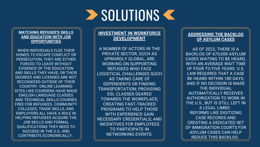### **INVESTMENT IN WORKFORCE DEVELOPMENT**

A NUMBER OF ACTORS IN THE PRIVATE SECTOR, SUCH AS UPWARDLY GLOBAL, ARE WORKING ON SUPPORTING REFUGEES WHO FACE LOGISTICAL CHALLENGES SUCH AS TAKING CARE OF DEPENDENTS OR FINDING TRANSPORTATION; PROVIDING ESL CLASSES GEARED TOWARDS THE WORKPLACE; CREATING FAST-TRACKED PROGRAMS TO HELP THOSE WITH EXPERIENCE GAIN NECESSARY CREDENTIALS; AND INCENTIVES FOR EMPLOYEES TO PARTICIPATE IN NETWORKING EVENTS.



### **EXAMPLE SOLUTIONS CONTRACT**

#### **MATCHING REFUGEE'S SKILLS AND EDUCATION WITH JOB OPPORTUNITIES**

WHEN INDIVIDUALS FLEE THEIR HOMES TO ESCAPE CONFLICT OR PERSECUTION, THEY ARE EITHER FORCED TO LEAVE WITHOUT EVIDENCE OF THE EDUCATION AND SKILLS THEY HAVE, OR THEIR DEGREES AND LICENSES ARE NOT RECOGNIZED OUTSIDE OF THEIR COUNTRY. ONLINE LEARNING SITES LIKE COURSERA HAVE MADE ENGLISH LANGUAGE CLASSES AND TECHNICAL SKILLS COURSES FREE FOR REFUGEES. COMMUNITY COLLEGES, TRADE SKILLS, AND EMPLOYERS ALL HAVE A ROLE IN HELPING REFUGEES ACQUIRE THE JOB SKILLS AND FORMAL QUALIFICATIONS THEY NEED TO SUCCEED IN THE U.S. AND CONTRIBUTE ECONOMICALLY.

### **ADDRESSING THE BACKLOG OF ASYLUM CASES**

AS OF 2022, THERE IS A BACKLOG OF 670,000 ASYLUM CASES WAITING TO BE HEARD, WITH AN AVERAGE WAIT TIME OF FOUR TO FIVE YEARS. U.S. LAW REQUIRES THAT A CASE BE HEARD WITHIN 180 DAYS, AND IF NO DECISION IS MADE THE INDIVIDUAL AUTOMATICALLY RECEIVES AUTHORIZATION TO WORK IN THE U.S., BUT IS STILL LEFT IN A LEGAL LIMBO. REFORMS LIKE DIGITIZING CASE RECORDS AND CREATING A DEDICATED SET OF IMMIGRATION COURTS FOR ASYLUM CASES CAN HELP REDUCE THIS BACKLOG.